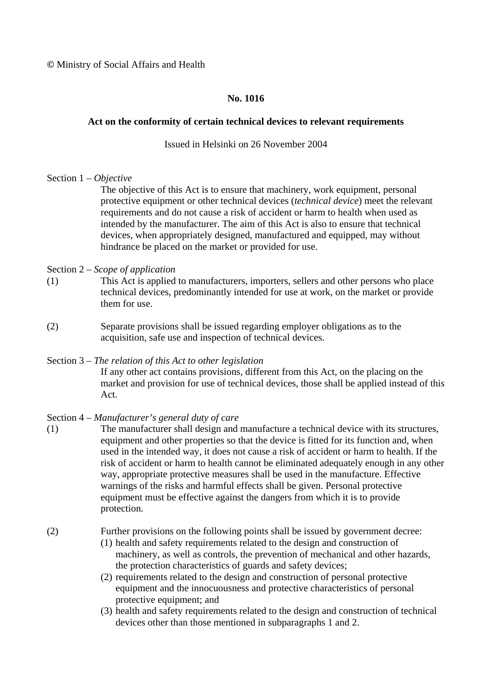**©** Ministry of Social Affairs and Health

# **No. 1016**

### **Act on the conformity of certain technical devices to relevant requirements**

### Issued in Helsinki on 26 November 2004

### Section 1 – *Objective*

The objective of this Act is to ensure that machinery, work equipment, personal protective equipment or other technical devices (*technical device*) meet the relevant requirements and do not cause a risk of accident or harm to health when used as intended by the manufacturer. The aim of this Act is also to ensure that technical devices, when appropriately designed, manufactured and equipped, may without hindrance be placed on the market or provided for use.

### Section 2 – *Scope of application*

- (1) This Act is applied to manufacturers, importers, sellers and other persons who place technical devices, predominantly intended for use at work, on the market or provide them for use.
- (2) Separate provisions shall be issued regarding employer obligations as to the acquisition, safe use and inspection of technical devices.

#### Section 3 – *The relation of this Act to other legislation*

If any other act contains provisions, different from this Act, on the placing on the market and provision for use of technical devices, those shall be applied instead of this Act.

# Section 4 – *Manufacturer's general duty of care*

(1) The manufacturer shall design and manufacture a technical device with its structures, equipment and other properties so that the device is fitted for its function and, when used in the intended way, it does not cause a risk of accident or harm to health. If the risk of accident or harm to health cannot be eliminated adequately enough in any other way, appropriate protective measures shall be used in the manufacture. Effective warnings of the risks and harmful effects shall be given. Personal protective equipment must be effective against the dangers from which it is to provide protection.

# (2) Further provisions on the following points shall be issued by government decree:

- (1) health and safety requirements related to the design and construction of machinery, as well as controls, the prevention of mechanical and other hazards, the protection characteristics of guards and safety devices;
- (2) requirements related to the design and construction of personal protective equipment and the innocuousness and protective characteristics of personal protective equipment; and
- (3) health and safety requirements related to the design and construction of technical devices other than those mentioned in subparagraphs 1 and 2.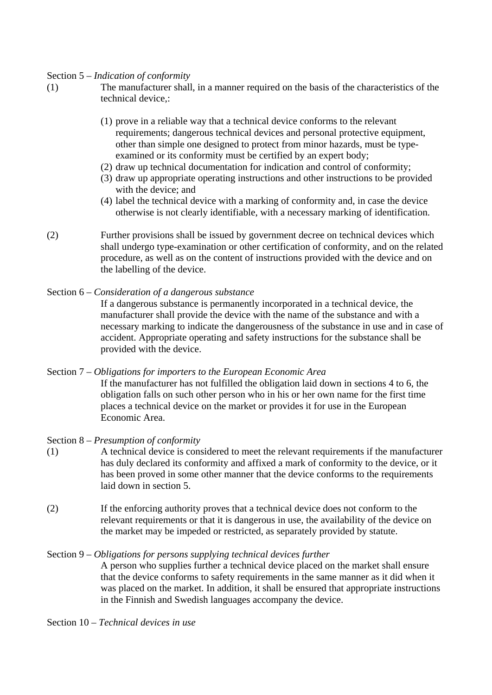### Section 5 – *Indication of conformity*

- (1) The manufacturer shall, in a manner required on the basis of the characteristics of the technical device,:
	- (1) prove in a reliable way that a technical device conforms to the relevant requirements; dangerous technical devices and personal protective equipment, other than simple one designed to protect from minor hazards, must be typeexamined or its conformity must be certified by an expert body;
	- (2) draw up technical documentation for indication and control of conformity;
	- (3) draw up appropriate operating instructions and other instructions to be provided with the device; and
	- (4) label the technical device with a marking of conformity and, in case the device otherwise is not clearly identifiable, with a necessary marking of identification.
- (2) Further provisions shall be issued by government decree on technical devices which shall undergo type-examination or other certification of conformity, and on the related procedure, as well as on the content of instructions provided with the device and on the labelling of the device.
- Section 6 *Consideration of a dangerous substance*
	- If a dangerous substance is permanently incorporated in a technical device, the manufacturer shall provide the device with the name of the substance and with a necessary marking to indicate the dangerousness of the substance in use and in case of accident. Appropriate operating and safety instructions for the substance shall be provided with the device.

Section 7 – *Obligations for importers to the European Economic Area* If the manufacturer has not fulfilled the obligation laid down in sections 4 to 6, the obligation falls on such other person who in his or her own name for the first time places a technical device on the market or provides it for use in the European Economic Area.

- Section 8 *Presumption of conformity*
- (1) A technical device is considered to meet the relevant requirements if the manufacturer has duly declared its conformity and affixed a mark of conformity to the device, or it has been proved in some other manner that the device conforms to the requirements laid down in section 5.
- (2) If the enforcing authority proves that a technical device does not conform to the relevant requirements or that it is dangerous in use, the availability of the device on the market may be impeded or restricted, as separately provided by statute.

#### Section 9 – *Obligations for persons supplying technical devices further*

- A person who supplies further a technical device placed on the market shall ensure that the device conforms to safety requirements in the same manner as it did when it was placed on the market. In addition, it shall be ensured that appropriate instructions in the Finnish and Swedish languages accompany the device.
- Section 10 *Technical devices in use*